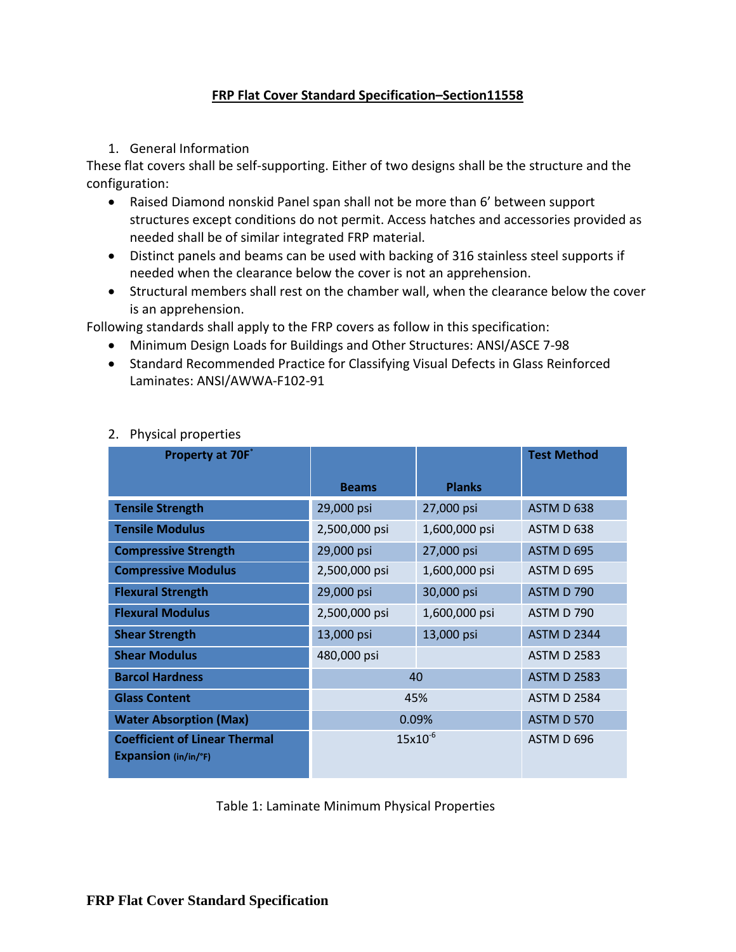### **FRP Flat Cover Standard Specification–Section11558**

1. General Information

These flat covers shall be self-supporting. Either of two designs shall be the structure and the configuration:

- Raised Diamond nonskid Panel span shall not be more than 6' between support structures except conditions do not permit. Access hatches and accessories provided as needed shall be of similar integrated FRP material.
- Distinct panels and beams can be used with backing of 316 stainless steel supports if needed when the clearance below the cover is not an apprehension.
- Structural members shall rest on the chamber wall, when the clearance below the cover is an apprehension.

Following standards shall apply to the FRP covers as follow in this specification:

- Minimum Design Loads for Buildings and Other Structures: ANSI/ASCE 7-98
- Standard Recommended Practice for Classifying Visual Defects in Glass Reinforced Laminates: ANSI/AWWA-F102-91

| <b>Property at 70F</b>                                              |               |               | <b>Test Method</b> |
|---------------------------------------------------------------------|---------------|---------------|--------------------|
|                                                                     | <b>Beams</b>  | <b>Planks</b> |                    |
| <b>Tensile Strength</b>                                             | 29,000 psi    | 27,000 psi    | ASTM D 638         |
| <b>Tensile Modulus</b>                                              | 2,500,000 psi | 1,600,000 psi | ASTM D 638         |
| <b>Compressive Strength</b>                                         | 29,000 psi    | 27,000 psi    | ASTM D 695         |
| <b>Compressive Modulus</b>                                          | 2,500,000 psi | 1,600,000 psi | ASTM D 695         |
| <b>Flexural Strength</b>                                            | 29,000 psi    | 30,000 psi    | <b>ASTM D 790</b>  |
| <b>Flexural Modulus</b>                                             | 2,500,000 psi | 1,600,000 psi | ASTM D 790         |
| <b>Shear Strength</b>                                               | 13,000 psi    | 13,000 psi    | <b>ASTM D 2344</b> |
| <b>Shear Modulus</b>                                                | 480,000 psi   |               | <b>ASTM D 2583</b> |
| <b>Barcol Hardness</b>                                              | 40            |               | <b>ASTM D 2583</b> |
| <b>Glass Content</b>                                                | 45%           |               | <b>ASTM D 2584</b> |
| <b>Water Absorption (Max)</b>                                       | 0.09%         |               | <b>ASTM D 570</b>  |
| <b>Coefficient of Linear Thermal</b><br><b>Expansion</b> (in/in/°F) | $15x10^{-6}$  |               | ASTM D 696         |

# 2. Physical properties

Table 1: Laminate Minimum Physical Properties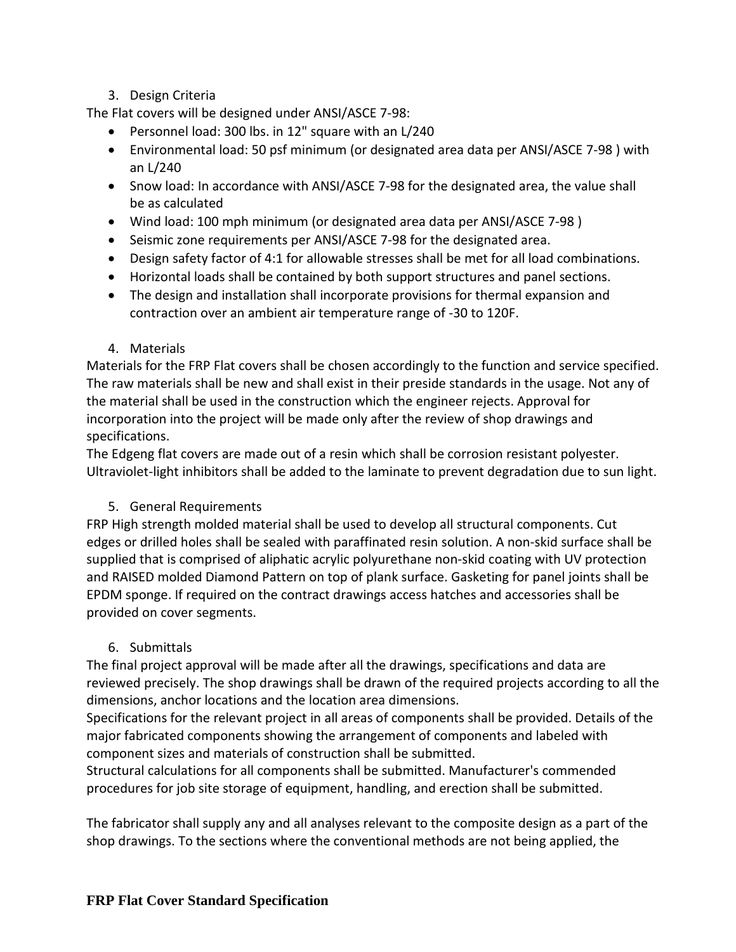# 3. Design Criteria

The Flat covers will be designed under ANSI/ASCE 7-98:

- Personnel load: 300 lbs. in 12" square with an L/240
- Environmental load: 50 psf minimum (or designated area data per ANSI/ASCE 7-98 ) with an L/240
- Snow load: In accordance with ANSI/ASCE 7-98 for the designated area, the value shall be as calculated
- Wind load: 100 mph minimum (or designated area data per ANSI/ASCE 7-98 )
- Seismic zone requirements per ANSI/ASCE 7-98 for the designated area.
- Design safety factor of 4:1 for allowable stresses shall be met for all load combinations.
- Horizontal loads shall be contained by both support structures and panel sections.
- The design and installation shall incorporate provisions for thermal expansion and contraction over an ambient air temperature range of -30 to 120F.

#### 4. Materials

Materials for the FRP Flat covers shall be chosen accordingly to the function and service specified. The raw materials shall be new and shall exist in their preside standards in the usage. Not any of the material shall be used in the construction which the engineer rejects. Approval for incorporation into the project will be made only after the review of shop drawings and specifications.

The Edgeng flat covers are made out of a resin which shall be corrosion resistant polyester. Ultraviolet-light inhibitors shall be added to the laminate to prevent degradation due to sun light.

### 5. General Requirements

FRP High strength molded material shall be used to develop all structural components. Cut edges or drilled holes shall be sealed with paraffinated resin solution. A non-skid surface shall be supplied that is comprised of aliphatic acrylic polyurethane non-skid coating with UV protection and RAISED molded Diamond Pattern on top of plank surface. Gasketing for panel joints shall be EPDM sponge. If required on the contract drawings access hatches and accessories shall be provided on cover segments.

### 6. Submittals

The final project approval will be made after all the drawings, specifications and data are reviewed precisely. The shop drawings shall be drawn of the required projects according to all the dimensions, anchor locations and the location area dimensions.

Specifications for the relevant project in all areas of components shall be provided. Details of the major fabricated components showing the arrangement of components and labeled with component sizes and materials of construction shall be submitted.

Structural calculations for all components shall be submitted. Manufacturer's commended procedures for job site storage of equipment, handling, and erection shall be submitted.

The fabricator shall supply any and all analyses relevant to the composite design as a part of the shop drawings. To the sections where the conventional methods are not being applied, the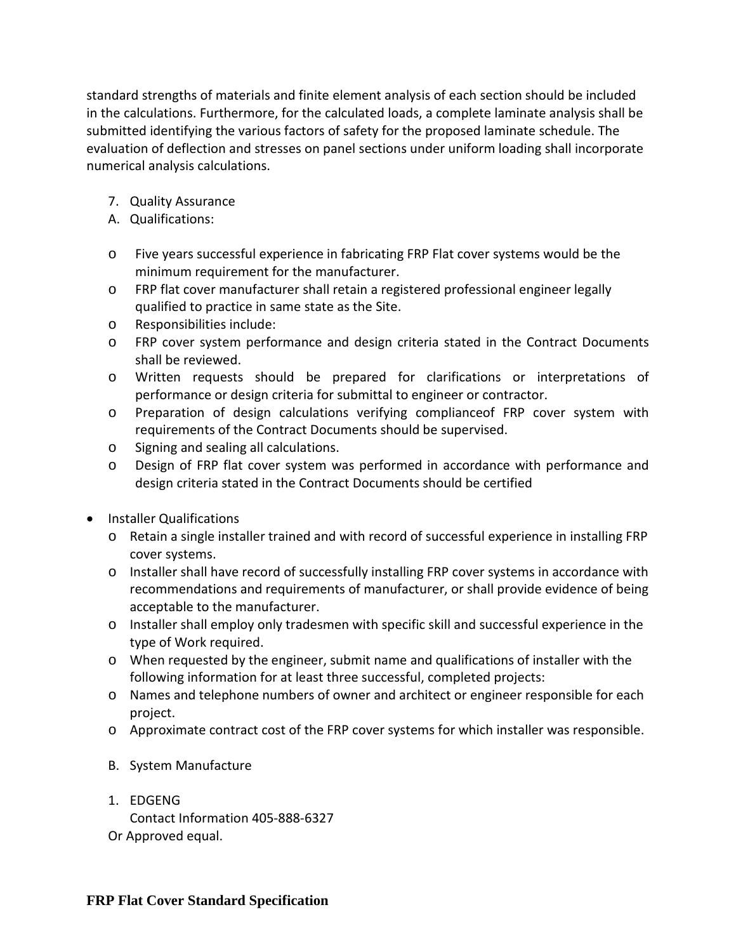standard strengths of materials and finite element analysis of each section should be included in the calculations. Furthermore, for the calculated loads, a complete laminate analysis shall be submitted identifying the various factors of safety for the proposed laminate schedule. The evaluation of deflection and stresses on panel sections under uniform loading shall incorporate numerical analysis calculations.

- 7. Quality Assurance
- A. Qualifications:
- o Five years successful experience in fabricating FRP Flat cover systems would be the minimum requirement for the manufacturer.
- o FRP flat cover manufacturer shall retain a registered professional engineer legally qualified to practice in same state as the Site.
- o Responsibilities include:
- o FRP cover system performance and design criteria stated in the Contract Documents shall be reviewed.
- o Written requests should be prepared for clarifications or interpretations of performance or design criteria for submittal to engineer or contractor.
- o Preparation of design calculations verifying complianceof FRP cover system with requirements of the Contract Documents should be supervised.
- o Signing and sealing all calculations.
- o Design of FRP flat cover system was performed in accordance with performance and design criteria stated in the Contract Documents should be certified
- Installer Qualifications
	- o Retain a single installer trained and with record of successful experience in installing FRP cover systems.
	- o Installer shall have record of successfully installing FRP cover systems in accordance with recommendations and requirements of manufacturer, or shall provide evidence of being acceptable to the manufacturer.
	- o Installer shall employ only tradesmen with specific skill and successful experience in the type of Work required.
	- o When requested by the engineer, submit name and qualifications of installer with the following information for at least three successful, completed projects:
	- o Names and telephone numbers of owner and architect or engineer responsible for each project.
	- o Approximate contract cost of the FRP cover systems for which installer was responsible.
	- B. System Manufacture
	- 1. EDGENG Contact Information 405-888-6327 Or Approved equal.